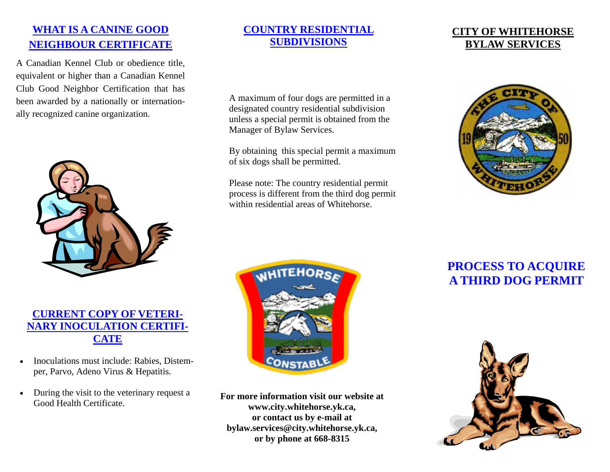## **WHAT IS A CANINE GOOD NEIGHBOUR CERTIFICATE**

A Canadian Kennel Club or obedience title, equivalent or higher than a Canadian Kennel Club Good Neighbor Certification that has been awarded by a nationally or internationally recognized canine organization.



#### **CURRENT COPY OF VETERI-NARY INOCULATION CERTIFI-CATE**

- Inoculations must include: Rabies, Distemper, Parvo, Adeno Virus & Hepatitis.
- During the visit to the veterinary request a Good Health Certificate.

#### **COUNTRY RESIDENTIAL SUBDIVISIONS**

A maximum of four dogs are permitted in a designated country residential subdivision unless a special permit is obtained from the Manager of Bylaw Services.

By obtaining this special permit a maximum of six dogs shall be permitted.

Please note: The country residential permit process is different from the third dog permit within residential areas of Whitehorse.







**For more information visit our website at www.city.whitehorse.yk.ca, or contact us by e-mail at bylaw.services@city.whitehorse.yk.ca, or by phone at 668-8315** 

# **PROCESS TO ACQUIRE A THIRD DOG PERMIT**